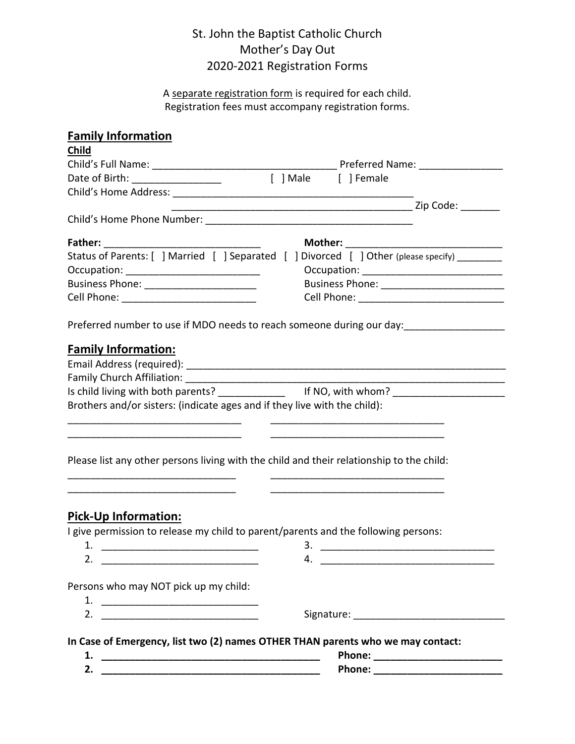# St. John the Baptist Catholic Church Mother's Day Out 2020-2021 Registration Forms

A separate registration form is required for each child. Registration fees must accompany registration forms.

| <b>Family Information</b>                                                 |                                                                                                     |
|---------------------------------------------------------------------------|-----------------------------------------------------------------------------------------------------|
| Child                                                                     |                                                                                                     |
|                                                                           |                                                                                                     |
|                                                                           |                                                                                                     |
|                                                                           |                                                                                                     |
|                                                                           |                                                                                                     |
|                                                                           |                                                                                                     |
| Father:                                                                   | Mother:                                                                                             |
|                                                                           | Status of Parents: [ ] Married [ ] Separated [ ] Divorced [ ] Other (please specify) _______        |
|                                                                           |                                                                                                     |
| Business Phone: _________________________                                 |                                                                                                     |
|                                                                           |                                                                                                     |
|                                                                           |                                                                                                     |
| <b>Family Information:</b>                                                |                                                                                                     |
|                                                                           |                                                                                                     |
|                                                                           |                                                                                                     |
|                                                                           | Is child living with both parents? __________________ If NO, with whom? ___________________________ |
| Brothers and/or sisters: (indicate ages and if they live with the child): |                                                                                                     |
|                                                                           |                                                                                                     |
|                                                                           |                                                                                                     |
|                                                                           |                                                                                                     |
|                                                                           | Please list any other persons living with the child and their relationship to the child:            |
| <u> 1989 - Johann Barbara, martxa al III-lea (h. 1989).</u>               |                                                                                                     |
| <u> 1980 - Jan Barbara, martin da kasar Amerikaan kasar da</u>            |                                                                                                     |
|                                                                           |                                                                                                     |
| <b>Pick-Up Information:</b>                                               |                                                                                                     |
|                                                                           | I give permission to release my child to parent/parents and the following persons:                  |
|                                                                           |                                                                                                     |
|                                                                           |                                                                                                     |
|                                                                           |                                                                                                     |
| Persons who may NOT pick up my child:                                     |                                                                                                     |
|                                                                           |                                                                                                     |
|                                                                           |                                                                                                     |
| 2. $\qquad \qquad$                                                        |                                                                                                     |
|                                                                           | In Case of Emergency, list two (2) names OTHER THAN parents who we may contact:                     |
|                                                                           | Phone: ___________________________                                                                  |
| 2.                                                                        | Phone: ____________________________                                                                 |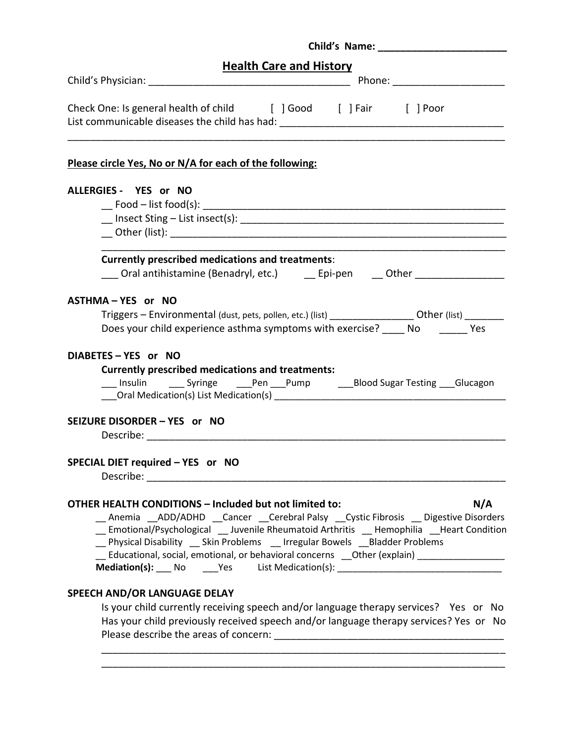| <b>Health Care and History</b>                                                                                 |     |
|----------------------------------------------------------------------------------------------------------------|-----|
|                                                                                                                |     |
| Check One: Is general health of child [ ] Good [ ] Fair [ ] Poor                                               |     |
| Please circle Yes, No or N/A for each of the following:                                                        |     |
| ALLERGIES - YES or NO                                                                                          |     |
|                                                                                                                |     |
| 100 Insect Sting - List insect(s): 100 MHz = 200 MHz = 200 MHz = 200 MHz = 200 MHz = 200 MHz = 200 MHz = 200 M |     |
|                                                                                                                |     |
| <b>Currently prescribed medications and treatments:</b>                                                        |     |
| ___ Oral antihistamine (Benadryl, etc.) ___ Epi-pen ___ Other _________________                                |     |
| ASTHMA-YES or NO                                                                                               |     |
| Triggers - Environmental (dust, pets, pollen, etc.) (list) ___________________Other (list) ________            |     |
| Does your child experience asthma symptoms with exercise? _____ No _______ Yes                                 |     |
|                                                                                                                |     |
| DIABETES - YES or NO                                                                                           |     |
| <b>Currently prescribed medications and treatments:</b>                                                        |     |
| ___ Insulin ______ Syringe _______Pen ____Pump _________Blood Sugar Testing ____Glucagon                       |     |
|                                                                                                                |     |
| SEIZURE DISORDER - YES or NO                                                                                   |     |
|                                                                                                                |     |
| SPECIAL DIET required - YES or NO                                                                              |     |
| Describe: _______________                                                                                      |     |
|                                                                                                                |     |
| <b>OTHER HEALTH CONDITIONS - Included but not limited to:</b>                                                  | N/A |
| Anemia ADD/ADHD Cancer Cerebral Palsy Cystic Fibrosis Digestive Disorders                                      |     |
| _ Emotional/Psychological __ Juvenile Rheumatoid Arthritis _ Hemophilia __ Heart Condition                     |     |
| _Physical Disability __ Skin Problems __ Irregular Bowels __Bladder Problems                                   |     |
| Educational, social, emotional, or behavioral concerns __Other (explain) ___________________________           |     |
|                                                                                                                |     |
| SPEECH AND/OR LANGUAGE DELAY                                                                                   |     |
| Is your child currently receiving speech and/or language therapy services? Yes or No                           |     |
| Has your child previously received speech and/or language therapy services? Yes or No                          |     |

\_\_\_\_\_\_\_\_\_\_\_\_\_\_\_\_\_\_\_\_\_\_\_\_\_\_\_\_\_\_\_\_\_\_\_\_\_\_\_\_\_\_\_\_\_\_\_\_\_\_\_\_\_\_\_\_\_\_\_\_\_\_\_\_\_\_\_\_\_\_\_\_ \_\_\_\_\_\_\_\_\_\_\_\_\_\_\_\_\_\_\_\_\_\_\_\_\_\_\_\_\_\_\_\_\_\_\_\_\_\_\_\_\_\_\_\_\_\_\_\_\_\_\_\_\_\_\_\_\_\_\_\_\_\_\_\_\_\_\_\_\_\_\_\_

Please describe the areas of concern: \_\_\_\_\_\_\_\_\_\_\_\_\_\_\_\_\_\_\_\_\_\_\_\_\_\_\_\_\_\_\_\_\_\_\_\_\_\_\_\_\_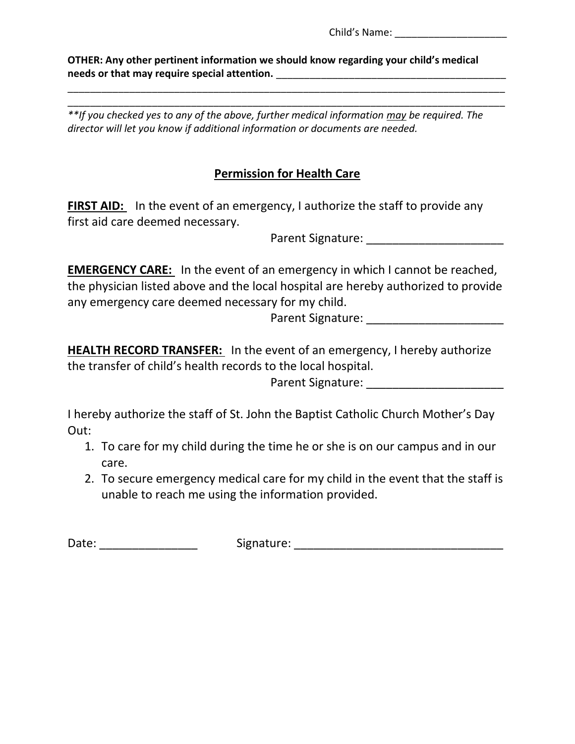Child's Name:

**OTHER: Any other pertinent information we should know regarding your child's medical**  needs or that may require special attention.

\_\_\_\_\_\_\_\_\_\_\_\_\_\_\_\_\_\_\_\_\_\_\_\_\_\_\_\_\_\_\_\_\_\_\_\_\_\_\_\_\_\_\_\_\_\_\_\_\_\_\_\_\_\_\_\_\_\_\_\_\_\_\_\_\_\_\_\_\_\_\_\_\_\_\_\_\_\_ *\*\*If you checked yes to any of the above, further medical information may be required. The director will let you know if additional information or documents are needed.*

\_\_\_\_\_\_\_\_\_\_\_\_\_\_\_\_\_\_\_\_\_\_\_\_\_\_\_\_\_\_\_\_\_\_\_\_\_\_\_\_\_\_\_\_\_\_\_\_\_\_\_\_\_\_\_\_\_\_\_\_\_\_\_\_\_\_\_\_\_\_\_\_\_\_\_\_\_\_

# **Permission for Health Care**

**FIRST AID:** In the event of an emergency, I authorize the staff to provide any first aid care deemed necessary.

Parent Signature: **Example 2018** 

**EMERGENCY CARE:** In the event of an emergency in which I cannot be reached, the physician listed above and the local hospital are hereby authorized to provide any emergency care deemed necessary for my child.

Parent Signature: \_\_\_\_\_\_\_\_\_\_\_\_\_\_\_\_\_\_\_\_\_

**HEALTH RECORD TRANSFER:** In the event of an emergency, I hereby authorize the transfer of child's health records to the local hospital.

Parent Signature: **Example 2018** 

I hereby authorize the staff of St. John the Baptist Catholic Church Mother's Day Out:

- 1. To care for my child during the time he or she is on our campus and in our care.
- 2. To secure emergency medical care for my child in the event that the staff is unable to reach me using the information provided.

Date: \_\_\_\_\_\_\_\_\_\_\_\_\_\_\_ Signature: \_\_\_\_\_\_\_\_\_\_\_\_\_\_\_\_\_\_\_\_\_\_\_\_\_\_\_\_\_\_\_\_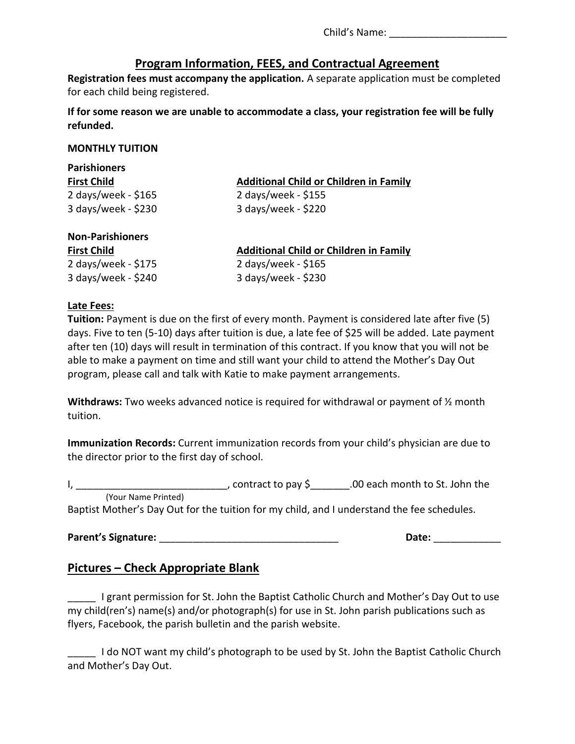Child's Name: **Example 20** 

# **Program Information, FEES, and Contractual Agreement**

**Registration fees must accompany the application.** A separate application must be completed for each child being registered.

**If for some reason we are unable to accommodate a class, your registration fee will be fully refunded.**

#### **MONTHLY TUITION**

| <b>Parishioners</b> |                                               |  |  |
|---------------------|-----------------------------------------------|--|--|
| <b>First Child</b>  | <b>Additional Child or Children in Family</b> |  |  |
| 2 days/week - \$165 | 2 days/week - \$155                           |  |  |
| 3 days/week - \$230 | 3 days/week - \$220                           |  |  |

### **Non-Parishioners**

2 days/week - \$175 2 days/week - \$165 3 days/week - \$240 3 days/week - \$230

**First Child Additional Child or Children in Family**

#### **Late Fees:**

**Tuition:** Payment is due on the first of every month. Payment is considered late after five (5) days. Five to ten (5-10) days after tuition is due, a late fee of \$25 will be added. Late payment after ten (10) days will result in termination of this contract. If you know that you will not be able to make a payment on time and still want your child to attend the Mother's Day Out program, please call and talk with Katie to make payment arrangements.

**Withdraws:** Two weeks advanced notice is required for withdrawal or payment of ½ month tuition.

**Immunization Records:** Current immunization records from your child's physician are due to the director prior to the first day of school.

I, \_\_\_\_\_\_\_\_\_\_\_\_\_\_\_\_\_\_\_\_\_\_\_\_\_\_\_\_\_\_\_\_\_, contract to pay \$\_\_\_\_\_\_\_.00 each month to St. John the (Your Name Printed) Baptist Mother's Day Out for the tuition for my child, and I understand the fee schedules.

Parent's Signature: **Example 20 and 20 and 20 and 20 and 20 and 20 and 20 and 20 and 20 and 20 and 20 and 20 and 20 and 20 and 20 and 20 and 20 and 20 and 20 and 20 and 20 and 20 and 20 and 20 and 20 and 20 and 20 and 20 a** 

## **Pictures – Check Appropriate Blank**

I grant permission for St. John the Baptist Catholic Church and Mother's Day Out to use my child(ren's) name(s) and/or photograph(s) for use in St. John parish publications such as flyers, Facebook, the parish bulletin and the parish website.

I do NOT want my child's photograph to be used by St. John the Baptist Catholic Church and Mother's Day Out.